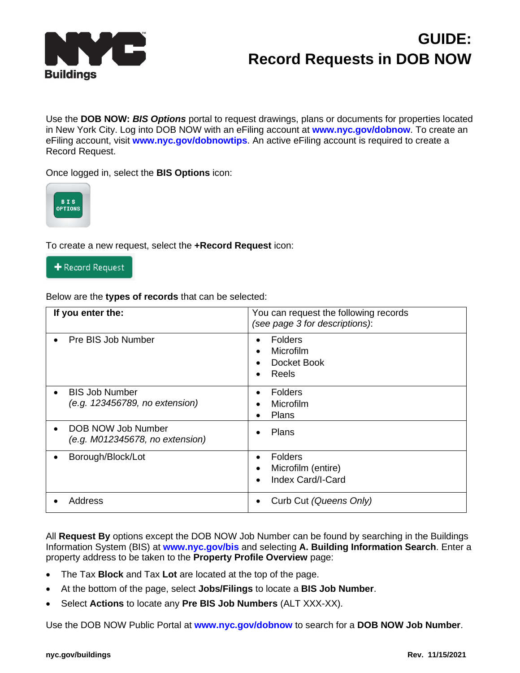

## **GUIDE: Record Requests in DOB NOW**

Use the **DOB NOW:** *BIS Options* portal to request drawings, plans or documents for properties located in New York City. Log into DOB NOW with an eFiling account at **[www.nyc.gov/dobnow](file:///C:/Users/sdonohue/Documents/www.nyc.gov/dobnow)**. To create an eFiling account, visit **[www.nyc.gov/dobnowtips](http://www.nyc.gov/dobnowtips)**. An active eFiling account is required to create a Record Request.

Once logged in, select the **BIS Options** icon:



To create a new request, select the **+Record Request** icon:

 $\blacklozenge$  Record Request

Below are the **types of records** that can be selected:

| If you enter the:                                                    | You can request the following records<br>(see page 3 for descriptions):                                 |
|----------------------------------------------------------------------|---------------------------------------------------------------------------------------------------------|
| Pre BIS Job Number<br>$\bullet$                                      | <b>Folders</b><br>$\bullet$<br>Microfilm<br>$\bullet$<br>Docket Book<br>$\bullet$<br>Reels<br>$\bullet$ |
| <b>BIS Job Number</b><br>$\bullet$<br>(e.g. 123456789, no extension) | <b>Folders</b><br>$\bullet$<br>Microfilm<br>$\bullet$<br>Plans<br>٠                                     |
| DOB NOW Job Number<br>(e.g. M012345678, no extension)                | Plans<br>$\bullet$                                                                                      |
| Borough/Block/Lot                                                    | <b>Folders</b><br>$\bullet$<br>Microfilm (entire)<br>٠<br>Index Card/I-Card<br>$\bullet$                |
| Address                                                              | Curb Cut (Queens Only)                                                                                  |

All **Request By** options except the DOB NOW Job Number can be found by searching in the Buildings Information System (BIS) at **[www.nyc.gov/bis](http://www.nyc.gov/bis)** and selecting **A. Building Information Search**. Enter a property address to be taken to the **Property Profile Overview** page:

- The Tax **Block** and Tax **Lot** are located at the top of the page.
- At the bottom of the page, select **Jobs/Filings** to locate a **BIS Job Number**.
- Select **Actions** to locate any **Pre BIS Job Numbers** (ALT XXX-XX).

Use the DOB NOW Public Portal at **[www.nyc.gov/dobnow](http://www.nyc.gov/dobnow)** to search for a **DOB NOW Job Number**.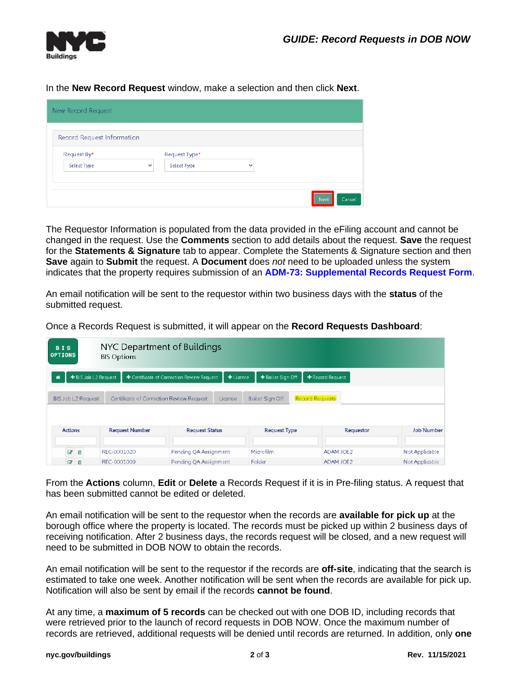

In the **New Record Request** window, make a selection and then click **Next**.

| New Record Request         |              |               |              |  |
|----------------------------|--------------|---------------|--------------|--|
| Record Request Information |              |               |              |  |
| Request By*                |              | Request Type* |              |  |
| Select Type                | $\checkmark$ | Select Type   | $\checkmark$ |  |

The Requestor Information is populated from the data provided in the eFiling account and cannot be changed in the request. Use the **Comments** section to add details about the request. **Save** the request for the **Statements & Signature** tab to appear. Complete the Statements & Signature section and then **Save** again to **Submit** the request. A **Document** does *not* need to be uploaded unless the system indicates that the property requires submission of an **[ADM-73: Supplemental Records Request Form](https://www1.nyc.gov/assets/buildings/pdf/adm_73_form.pdf)**.

An email notification will be sent to the requestor within two business days with the **status** of the submitted request.

Once a Records Request is submitted, it will appear on the **Record Requests Dashboard**:

| NYC Department of Buildings<br><b>BIS</b><br><b>OPTIONS</b><br><b>BIS Options</b>                                             |                       |                                            |           |                     |                  |                   |  |  |
|-------------------------------------------------------------------------------------------------------------------------------|-----------------------|--------------------------------------------|-----------|---------------------|------------------|-------------------|--|--|
| + BIS Job L2 Request<br>僠                                                                                                     |                       | + Certificate of Correction Review Request | + License | + Boiler Sign Off   | + Record Request |                   |  |  |
| <b>Record Requests</b><br>Boiler Sign Off<br>Certificate of Correction Review Request<br><b>BIS Job L2 Request</b><br>License |                       |                                            |           |                     |                  |                   |  |  |
| <b>Actions</b>                                                                                                                | <b>Request Number</b> | <b>Request Status</b>                      |           | <b>Request Type</b> | Requestor        | <b>Job Number</b> |  |  |
| $\mathcal{C}^*$                                                                                                               | RFC-0001020           | Pending QA Assignment                      |           | Microfilm           | ADAM JOE2        | Not Applicable    |  |  |
| 面<br>$\mathcal{B}$<br>面                                                                                                       | REC-0001009           | Pending QA Assignment                      |           | Folder              | ADAM JOE2        | Not Applicable    |  |  |

From the **Actions** column, **Edit** or **Delete** a Records Request if it is in Pre-filing status. A request that has been submitted cannot be edited or deleted.

An email notification will be sent to the requestor when the records are **available for pick up** at the borough office where the property is located. The records must be picked up within 2 business days of receiving notification. After 2 business days, the records request will be closed, and a new request will need to be submitted in DOB NOW to obtain the records.

An email notification will be sent to the requestor if the records are **off-site**, indicating that the search is estimated to take one week. Another notification will be sent when the records are available for pick up. Notification will also be sent by email if the records **cannot be found**.

At any time, a **maximum of 5 records** can be checked out with one DOB ID, including records that were retrieved prior to the launch of record requests in DOB NOW. Once the maximum number of records are retrieved, additional requests will be denied until records are returned. In addition, only **one**